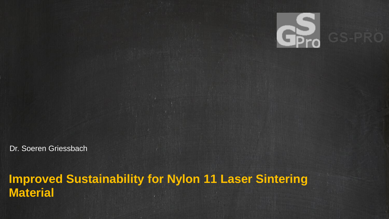Dr. Soeren Griessbach

# **Improved Sustainability for Nylon 11 Laser Sintering Material**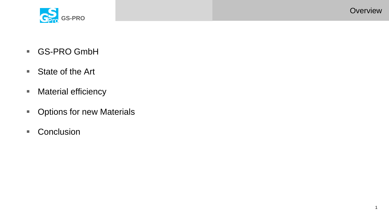

- GS-PRO GmbH
- State of the Art
- Material efficiency
- Options for new Materials
- Conclusion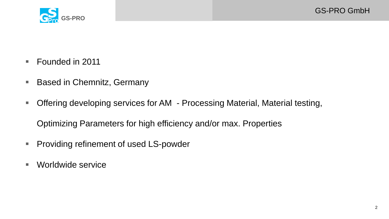

- Founded in 2011
- Based in Chemnitz, Germany
- Offering developing services for AM Processing Material, Material testing,

Optimizing Parameters for high efficiency and/or max. Properties

- **Providing refinement of used LS-powder**
- Worldwide service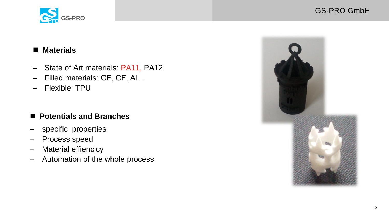

# GS-PRO GmbH

## **Materials**

- State of Art materials: PA11, PA12
- Filled materials: GF, CF, Al...
- Flexible: TPU

# **Potentials and Branches**

- specific properties
- Process speed
- Material effiencicy
- Automation of the whole process

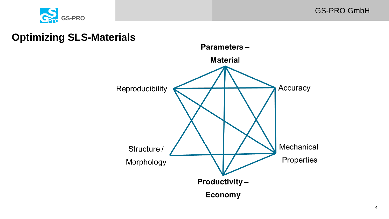

# **Optimizing SLS-Materials**

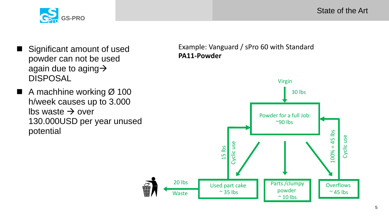State of the Art



- Significant amount of used powder can not be used again due to aging  $\rightarrow$ DISPOSAL
- $\blacksquare$  A machhine working  $\varnothing$  100 h/week causes up to 3.000  $\mathsf{lbs}$  waste  $\rightarrow$  over 130.000USD per year unused potential

Example: Vanguard / sPro 60 with Standard **PA11-Powder**

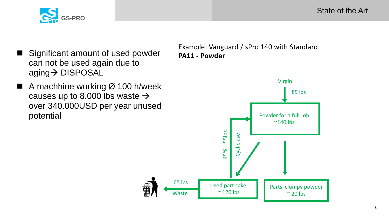State of the Art



- Significant amount of used powder can not be used again due to aging > DISPOSAL
- $\blacksquare$  A machhine working  $\emptyset$  100 h/week causes up to 8.000 lbs waste  $\rightarrow$ over 340.000USD per year unused potential

Example: Vanguard / sPro 140 with Standard **PA11 - Powder**

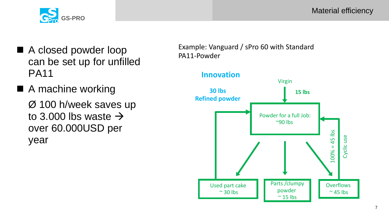

- A closed powder loop can be set up for unfilled PA11
- A machine working Ø 100 h/week saves up to 3.000 lbs waste  $\rightarrow$ over 60.000USD per year

Example: Vanguard / sPro 60 with Standard PA11-Powder

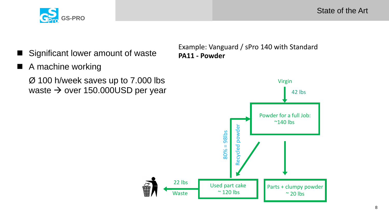



- Significant lower amount of waste
- A machine working

Ø 100 h/week saves up to 7.000 lbs waste  $\rightarrow$  over 150.000USD per year Example: Vanguard / sPro 140 with Standard **PA11 - Powder**

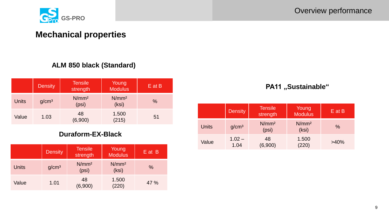

# **Mechanical properties**

#### **ALM 850 black (Standard)**

|              | <b>Density</b>    | Tensile<br>strength        | Young<br><b>Modulus</b>    | $E$ at B |
|--------------|-------------------|----------------------------|----------------------------|----------|
| <b>Units</b> | g/cm <sup>3</sup> | N/mm <sup>2</sup><br>(psi) | N/mm <sup>2</sup><br>(ksi) | %        |
| Value        | 1.03              | 48<br>(6,900)              | 1.500<br>(215)             | 51       |

#### **Duraform-EX-Black**

|              | <b>Density</b>    | <b>Tensile</b><br>strength | Young<br><b>Modulus</b>    | E at B        |
|--------------|-------------------|----------------------------|----------------------------|---------------|
| <b>Units</b> | g/cm <sup>3</sup> | N/mm <sup>2</sup><br>(psi) | N/mm <sup>2</sup><br>(ksi) | $\frac{0}{0}$ |
| Value        | 1.01              | 48<br>(6,900)              | 1.500<br>(220)             | 47 %          |

#### **PA11** "Sustainable"

|              | <b>Density</b>    | <b>Tensile</b><br>strength | Young<br><b>Modulus</b>    | $E$ at B |
|--------------|-------------------|----------------------------|----------------------------|----------|
| <b>Units</b> | g/cm <sup>3</sup> | N/mm <sup>2</sup><br>(psi) | N/mm <sup>2</sup><br>(ksi) | $\%$     |
| Value        | $1.02 -$<br>1.04  | 48<br>(6,900)              | 1.500<br>(220)             | $>40\%$  |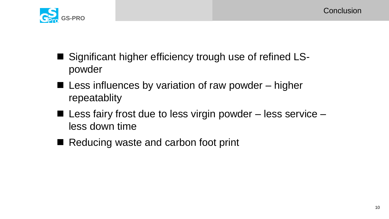

- Significant higher efficiency trough use of refined LSpowder
- Less influences by variation of raw powder higher repeatablity
- $\blacksquare$  Less fairy frost due to less virgin powder less service less down time
- Reducing waste and carbon foot print